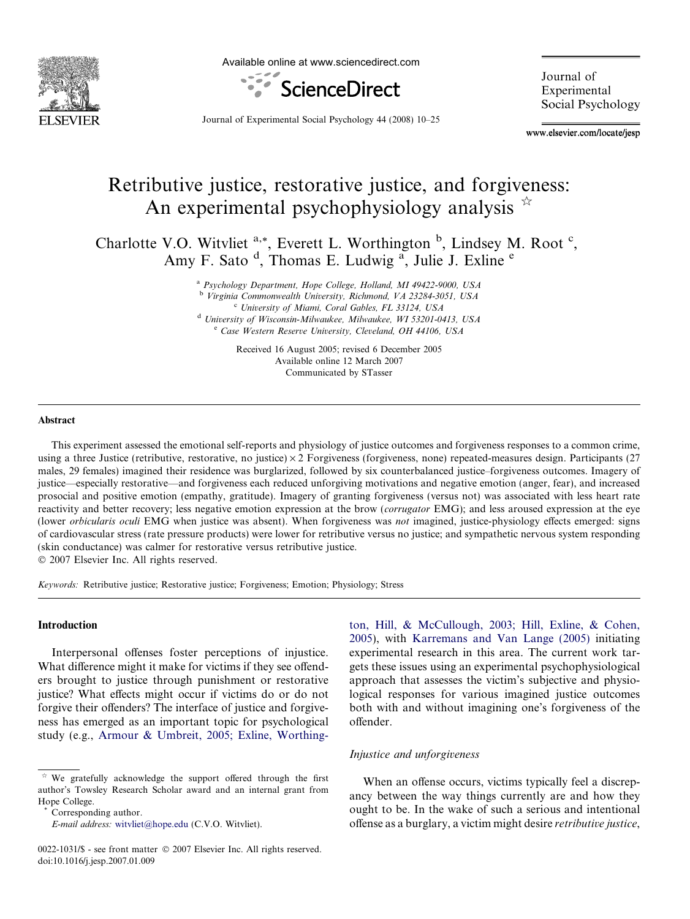

Available online at www.sciencedirect.com



Journal of Experimental Social Psychology

Journal of Experimental Social Psychology 44 (2008) 10–25

www.elsevier.com/locate/jesp

# Retributive justice, restorative justice, and forgiveness: An experimental psychophysiology analysis  $\overrightarrow{A}$

Charlotte V.O. Witvliet  $a^*$ , Everett L. Worthington  $b^*$ , Lindsey M. Root  $c^*$ , Amy F. Sato <sup>d</sup>, Thomas E. Ludwig <sup>a</sup>, Julie J. Exline <sup>e</sup>

> <sup>a</sup> Psychology Department, Hope College, Holland, MI 49422-9000, USA <sup>b</sup> Virginia Commonwealth University, Richmond, VA 23284-3051, USA <sup>c</sup> University of Miami, Coral Gables, FL 33124, USA <sup>d</sup> University of Wisconsin-Milwaukee, Milwaukee, WI 53201-0413, USA <sup>e</sup> Case Western Reserve University, Cleveland, OH 44106, USA

> > Received 16 August 2005; revised 6 December 2005 Available online 12 March 2007 Communicated by STasser

#### Abstract

This experiment assessed the emotional self-reports and physiology of justice outcomes and forgiveness responses to a common crime, using a three Justice (retributive, restorative, no justice)  $\times$  2 Forgiveness (forgiveness, none) repeated-measures design. Participants (27) males, 29 females) imagined their residence was burglarized, followed by six counterbalanced justice–forgiveness outcomes. Imagery of justice—especially restorative—and forgiveness each reduced unforgiving motivations and negative emotion (anger, fear), and increased prosocial and positive emotion (empathy, gratitude). Imagery of granting forgiveness (versus not) was associated with less heart rate reactivity and better recovery; less negative emotion expression at the brow (corrugator EMG); and less aroused expression at the eye (lower orbicularis oculi EMG when justice was absent). When forgiveness was not imagined, justice-physiology effects emerged: signs of cardiovascular stress (rate pressure products) were lower for retributive versus no justice; and sympathetic nervous system responding (skin conductance) was calmer for restorative versus retributive justice.  $© 2007 Elsevier Inc. All rights reserved.$ 

Keywords: Retributive justice; Restorative justice; Forgiveness; Emotion; Physiology; Stress

#### Introduction

Interpersonal offenses foster perceptions of injustice. What difference might it make for victims if they see offenders brought to justice through punishment or restorative justice? What effects might occur if victims do or do not forgive their offenders? The interface of justice and forgiveness has emerged as an important topic for psychological study (e.g., [Armour & Umbreit, 2005; Exline, Worthing-](#page--1-0)

Corresponding author.

[ton, Hill, & McCullough, 2003; Hill, Exline, & Cohen,](#page--1-0) [2005\)](#page--1-0), with [Karremans and Van Lange \(2005\)](#page--1-0) initiating experimental research in this area. The current work targets these issues using an experimental psychophysiological approach that assesses the victim's subjective and physiological responses for various imagined justice outcomes both with and without imagining one's forgiveness of the offender.

### Injustice and unforgiveness

When an offense occurs, victims typically feel a discrepancy between the way things currently are and how they ought to be. In the wake of such a serious and intentional offense as a burglary, a victim might desire retributive justice,

We gratefully acknowledge the support offered through the first author's Towsley Research Scholar award and an internal grant from Hope College.

E-mail address: [witvliet@hope.edu](mailto:witvliet@hope.edu) (C.V.O. Witvliet).

<sup>0022-1031/\$ -</sup> see front matter © 2007 Elsevier Inc. All rights reserved. doi:10.1016/j.jesp.2007.01.009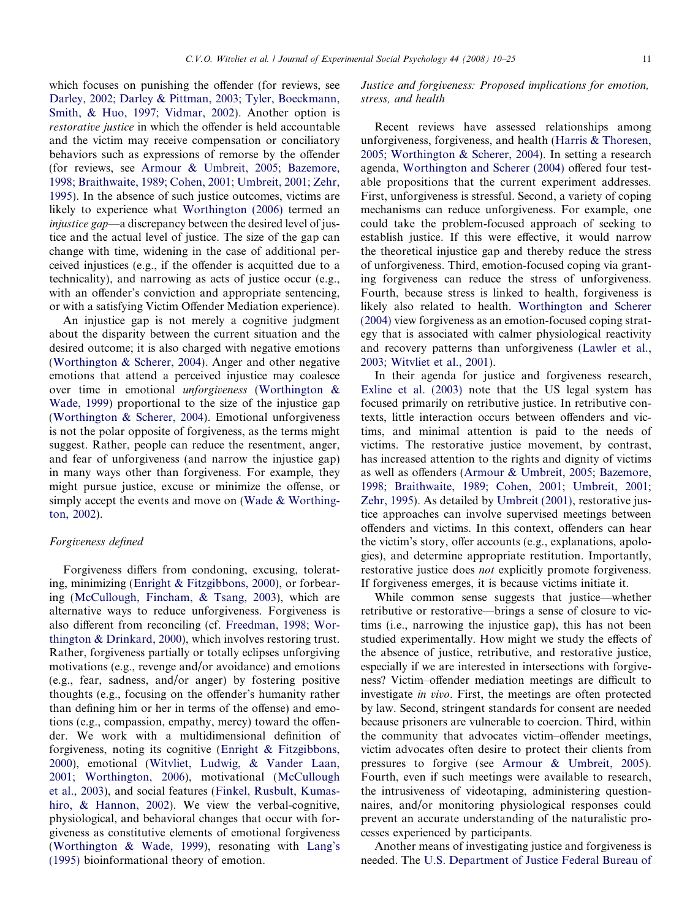which focuses on punishing the offender (for reviews, see [Darley, 2002; Darley & Pittman, 2003; Tyler, Boeckmann,](#page--1-0) [Smith, & Huo, 1997; Vidmar, 2002](#page--1-0)). Another option is restorative justice in which the offender is held accountable and the victim may receive compensation or conciliatory behaviors such as expressions of remorse by the offender (for reviews, see [Armour & Umbreit, 2005; Bazemore,](#page--1-0) [1998; Braithwaite, 1989; Cohen, 2001; Umbreit, 2001; Zehr,](#page--1-0) [1995](#page--1-0)). In the absence of such justice outcomes, victims are likely to experience what [Worthington \(2006\)](#page--1-0) termed an injustice gap—a discrepancy between the desired level of justice and the actual level of justice. The size of the gap can change with time, widening in the case of additional perceived injustices (e.g., if the offender is acquitted due to a technicality), and narrowing as acts of justice occur (e.g., with an offender's conviction and appropriate sentencing, or with a satisfying Victim Offender Mediation experience).

An injustice gap is not merely a cognitive judgment about the disparity between the current situation and the desired outcome; it is also charged with negative emotions ([Worthington & Scherer, 2004\)](#page--1-0). Anger and other negative emotions that attend a perceived injustice may coalesce over time in emotional unforgiveness (Worthington & Wade, 1999) proportional to the size of the injustice gap ([Worthington & Scherer, 2004\)](#page--1-0). Emotional unforgiveness is not the polar opposite of forgiveness, as the terms might suggest. Rather, people can reduce the resentment, anger, and fear of unforgiveness (and narrow the injustice gap) in many ways other than forgiveness. For example, they might pursue justice, excuse or minimize the offense, or simply accept the events and move on ([Wade & Worthing](#page--1-0)[ton, 2002\)](#page--1-0).

### Forgiveness defined

Forgiveness differs from condoning, excusing, tolerating, minimizing [\(Enright & Fitzgibbons, 2000\)](#page--1-0), or forbearing [\(McCullough, Fincham, & Tsang, 2003\)](#page--1-0), which are alternative ways to reduce unforgiveness. Forgiveness is also different from reconciling (cf. [Freedman, 1998; Wor](#page--1-0)[thington & Drinkard, 2000\)](#page--1-0), which involves restoring trust. Rather, forgiveness partially or totally eclipses unforgiving motivations (e.g., revenge and/or avoidance) and emotions (e.g., fear, sadness, and/or anger) by fostering positive thoughts (e.g., focusing on the offender's humanity rather than defining him or her in terms of the offense) and emotions (e.g., compassion, empathy, mercy) toward the offender. We work with a multidimensional definition of forgiveness, noting its cognitive ([Enright & Fitzgibbons,](#page--1-0) [2000](#page--1-0)), emotional [\(Witvliet, Ludwig, & Vander Laan,](#page--1-0) [2001; Worthington, 2006\)](#page--1-0), motivational ([McCullough](#page--1-0) [et al., 2003\)](#page--1-0), and social features ([Finkel, Rusbult, Kumas](#page--1-0)[hiro, & Hannon, 2002](#page--1-0)). We view the verbal-cognitive, physiological, and behavioral changes that occur with forgiveness as constitutive elements of emotional forgiveness (Worthington & Wade, 1999), resonating with [Lang's](#page--1-0) [\(1995\)](#page--1-0) bioinformational theory of emotion.

## Justice and forgiveness: Proposed implications for emotion, stress, and health

Recent reviews have assessed relationships among unforgiveness, forgiveness, and health ([Harris & Thoresen,](#page--1-0) [2005; Worthington & Scherer, 2004](#page--1-0)). In setting a research agenda, [Worthington and Scherer \(2004\)](#page--1-0) offered four testable propositions that the current experiment addresses. First, unforgiveness is stressful. Second, a variety of coping mechanisms can reduce unforgiveness. For example, one could take the problem-focused approach of seeking to establish justice. If this were effective, it would narrow the theoretical injustice gap and thereby reduce the stress of unforgiveness. Third, emotion-focused coping via granting forgiveness can reduce the stress of unforgiveness. Fourth, because stress is linked to health, forgiveness is likely also related to health. [Worthington and Scherer](#page--1-0) [\(2004\)](#page--1-0) view forgiveness as an emotion-focused coping strategy that is associated with calmer physiological reactivity and recovery patterns than unforgiveness ([Lawler et al.,](#page--1-0) [2003; Witvliet et al., 2001](#page--1-0)).

In their agenda for justice and forgiveness research, [Exline et al. \(2003\)](#page--1-0) note that the US legal system has focused primarily on retributive justice. In retributive contexts, little interaction occurs between offenders and victims, and minimal attention is paid to the needs of victims. The restorative justice movement, by contrast, has increased attention to the rights and dignity of victims as well as offenders ([Armour & Umbreit, 2005; Bazemore,](#page--1-0) [1998; Braithwaite, 1989; Cohen, 2001; Umbreit, 2001;](#page--1-0) [Zehr, 1995](#page--1-0)). As detailed by [Umbreit \(2001\)](#page--1-0), restorative justice approaches can involve supervised meetings between offenders and victims. In this context, offenders can hear the victim's story, offer accounts (e.g., explanations, apologies), and determine appropriate restitution. Importantly, restorative justice does *not* explicitly promote forgiveness. If forgiveness emerges, it is because victims initiate it.

While common sense suggests that justice—whether retributive or restorative—brings a sense of closure to victims (i.e., narrowing the injustice gap), this has not been studied experimentally. How might we study the effects of the absence of justice, retributive, and restorative justice, especially if we are interested in intersections with forgiveness? Victim–offender mediation meetings are difficult to investigate in vivo. First, the meetings are often protected by law. Second, stringent standards for consent are needed because prisoners are vulnerable to coercion. Third, within the community that advocates victim–offender meetings, victim advocates often desire to protect their clients from pressures to forgive (see [Armour & Umbreit, 2005\)](#page--1-0). Fourth, even if such meetings were available to research, the intrusiveness of videotaping, administering questionnaires, and/or monitoring physiological responses could prevent an accurate understanding of the naturalistic processes experienced by participants.

Another means of investigating justice and forgiveness is needed. The [U.S. Department of Justice Federal Bureau of](#page--1-0)